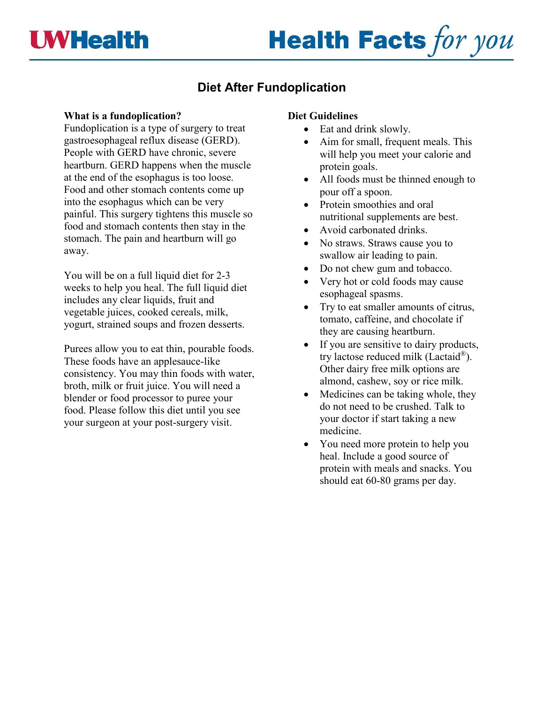# **Health Facts for you**

## **Diet After Fundoplication**

### **What is a fundoplication?**

Fundoplication is a type of surgery to treat gastroesophageal reflux disease (GERD). People with GERD have chronic, severe heartburn. GERD happens when the muscle at the end of the esophagus is too loose. Food and other stomach contents come up into the esophagus which can be very painful. This surgery tightens this muscle so food and stomach contents then stay in the stomach. The pain and heartburn will go away.

You will be on a full liquid diet for 2-3 weeks to help you heal. The full liquid diet includes any clear liquids, fruit and vegetable juices, cooked cereals, milk, yogurt, strained soups and frozen desserts.

Purees allow you to eat thin, pourable foods. These foods have an applesauce-like consistency. You may thin foods with water, broth, milk or fruit juice. You will need a blender or food processor to puree your food. Please follow this diet until you see your surgeon at your post-surgery visit.

#### **Diet Guidelines**

- Eat and drink slowly.
- Aim for small, frequent meals. This will help you meet your calorie and protein goals.
- All foods must be thinned enough to pour off a spoon.
- Protein smoothies and oral nutritional supplements are best.
- Avoid carbonated drinks.
- No straws. Straws cause you to swallow air leading to pain.
- Do not chew gum and tobacco.
- Very hot or cold foods may cause esophageal spasms.
- Try to eat smaller amounts of citrus, tomato, caffeine, and chocolate if they are causing heartburn.
- If you are sensitive to dairy products, try lactose reduced milk (Lactaid®). Other dairy free milk options are almond, cashew, soy or rice milk.
- Medicines can be taking whole, they do not need to be crushed. Talk to your doctor if start taking a new medicine.
- You need more protein to help you heal. Include a good source of protein with meals and snacks. You should eat 60-80 grams per day.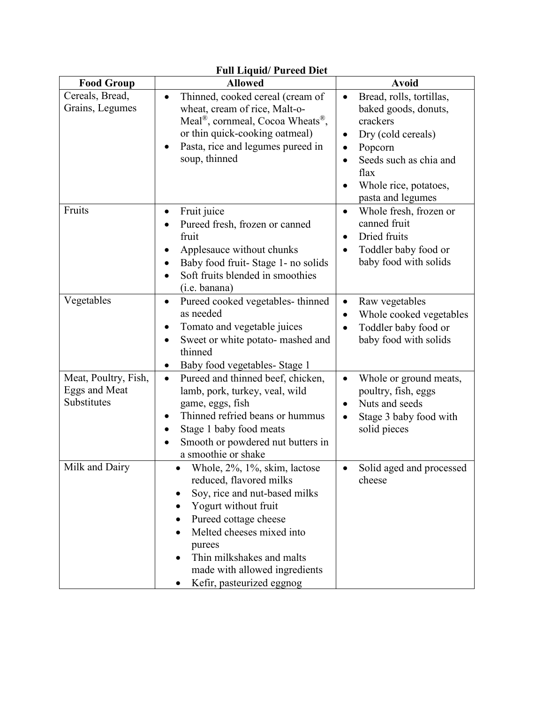| <b>Full Liquid/ Pureed Diet</b>                      |                                                                                                                                                                                                                                                                                                    |                                                                                                                                                                                                                                   |  |  |
|------------------------------------------------------|----------------------------------------------------------------------------------------------------------------------------------------------------------------------------------------------------------------------------------------------------------------------------------------------------|-----------------------------------------------------------------------------------------------------------------------------------------------------------------------------------------------------------------------------------|--|--|
| <b>Food Group</b>                                    | <b>Allowed</b>                                                                                                                                                                                                                                                                                     | <b>Avoid</b>                                                                                                                                                                                                                      |  |  |
| Cereals, Bread,<br>Grains, Legumes                   | Thinned, cooked cereal (cream of<br>$\bullet$<br>wheat, cream of rice, Malt-o-<br>Meal <sup>®</sup> , cornmeal, Cocoa Wheats <sup>®</sup> ,<br>or thin quick-cooking oatmeal)<br>Pasta, rice and legumes pureed in<br>$\bullet$<br>soup, thinned                                                   | Bread, rolls, tortillas,<br>$\bullet$<br>baked goods, donuts,<br>crackers<br>Dry (cold cereals)<br>$\bullet$<br>Popcorn<br>$\bullet$<br>Seeds such as chia and<br>$\bullet$<br>flax<br>Whole rice, potatoes,<br>pasta and legumes |  |  |
| Fruits                                               | Fruit juice<br>$\bullet$<br>Pureed fresh, frozen or canned<br>fruit<br>Applesauce without chunks<br>Baby food fruit-Stage 1- no solids<br>Soft fruits blended in smoothies<br>(i.e. banana)                                                                                                        | Whole fresh, frozen or<br>$\bullet$<br>canned fruit<br>Dried fruits<br>$\bullet$<br>Toddler baby food or<br>baby food with solids                                                                                                 |  |  |
| Vegetables                                           | Pureed cooked vegetables-thinned<br>$\bullet$<br>as needed<br>Tomato and vegetable juices<br>Sweet or white potato- mashed and<br>$\bullet$<br>thinned<br>Baby food vegetables- Stage 1<br>$\bullet$                                                                                               | Raw vegetables<br>$\bullet$<br>Whole cooked vegetables<br>Toddler baby food or<br>$\bullet$<br>baby food with solids                                                                                                              |  |  |
| Meat, Poultry, Fish,<br>Eggs and Meat<br>Substitutes | Pureed and thinned beef, chicken,<br>$\bullet$<br>lamb, pork, turkey, veal, wild<br>game, eggs, fish<br>Thinned refried beans or hummus<br>Stage 1 baby food meats<br>Smooth or powdered nut butters in<br>a smoothie or shake                                                                     | Whole or ground meats,<br>$\bullet$<br>poultry, fish, eggs<br>Nuts and seeds<br>$\bullet$<br>Stage 3 baby food with<br>solid pieces                                                                                               |  |  |
| Milk and Dairy                                       | Whole, 2%, 1%, skim, lactose<br>reduced, flavored milks<br>Soy, rice and nut-based milks<br>٠<br>Yogurt without fruit<br>Pureed cottage cheese<br>Melted cheeses mixed into<br>purees<br>Thin milkshakes and malts<br>$\bullet$<br>made with allowed ingredients<br>Kefir, pasteurized eggnog<br>٠ | Solid aged and processed<br>cheese                                                                                                                                                                                                |  |  |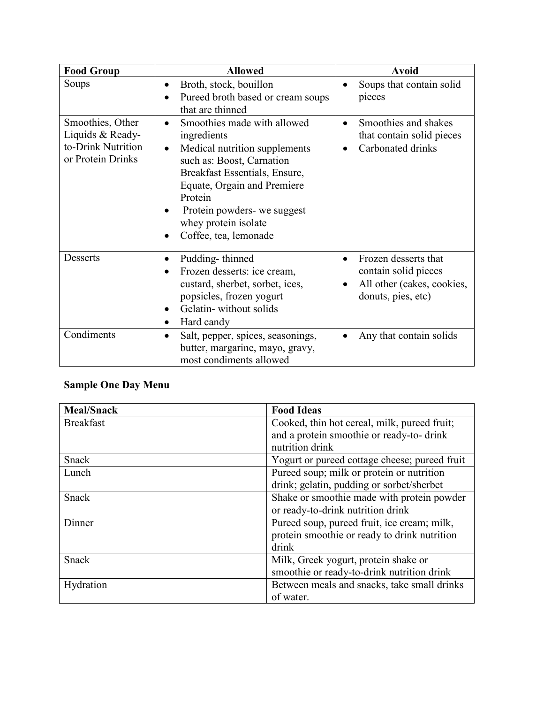| <b>Food Group</b>                                                               | <b>Allowed</b>                                                                                                                                                                                                                                                                                | <b>Avoid</b>                                                                                                               |
|---------------------------------------------------------------------------------|-----------------------------------------------------------------------------------------------------------------------------------------------------------------------------------------------------------------------------------------------------------------------------------------------|----------------------------------------------------------------------------------------------------------------------------|
| Soups                                                                           | Broth, stock, bouillon<br>$\bullet$<br>Pureed broth based or cream soups<br>that are thinned                                                                                                                                                                                                  | Soups that contain solid<br>$\bullet$<br>pieces                                                                            |
| Smoothies, Other<br>Liquids & Ready-<br>to-Drink Nutrition<br>or Protein Drinks | Smoothies made with allowed<br>$\bullet$<br>ingredients<br>Medical nutrition supplements<br>$\bullet$<br>such as: Boost, Carnation<br>Breakfast Essentials, Ensure,<br>Equate, Orgain and Premiere<br>Protein<br>Protein powders- we suggest<br>whey protein isolate<br>Coffee, tea, lemonade | Smoothies and shakes<br>$\bullet$<br>that contain solid pieces<br>Carbonated drinks                                        |
| <b>Desserts</b>                                                                 | Pudding-thinned<br>$\bullet$<br>Frozen desserts: ice cream,<br>custard, sherbet, sorbet, ices,<br>popsicles, frozen yogurt<br>Gelatin-without solids<br>Hard candy                                                                                                                            | Frozen desserts that<br>$\bullet$<br>contain solid pieces<br>All other (cakes, cookies,<br>$\bullet$<br>donuts, pies, etc) |
| Condiments                                                                      | Salt, pepper, spices, seasonings,<br>$\bullet$<br>butter, margarine, mayo, gravy,<br>most condiments allowed                                                                                                                                                                                  | Any that contain solids                                                                                                    |

## **Sample One Day Menu**

| <b>Meal/Snack</b> | <b>Food Ideas</b>                             |
|-------------------|-----------------------------------------------|
| <b>Breakfast</b>  | Cooked, thin hot cereal, milk, pureed fruit;  |
|                   | and a protein smoothie or ready-to- drink     |
|                   | nutrition drink                               |
| Snack             | Yogurt or pureed cottage cheese; pureed fruit |
| Lunch             | Pureed soup; milk or protein or nutrition     |
|                   | drink; gelatin, pudding or sorbet/sherbet     |
| Snack             | Shake or smoothie made with protein powder    |
|                   | or ready-to-drink nutrition drink             |
| Dinner            | Pureed soup, pureed fruit, ice cream; milk,   |
|                   | protein smoothie or ready to drink nutrition  |
|                   | drink                                         |
| Snack             | Milk, Greek yogurt, protein shake or          |
|                   | smoothie or ready-to-drink nutrition drink    |
| Hydration         | Between meals and snacks, take small drinks   |
|                   | of water.                                     |